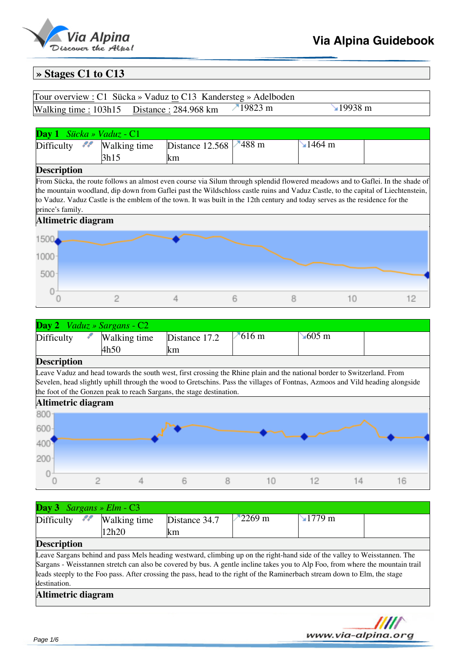

## **Via Alpina Guidebook**

### **» Stages C1 to C13**

| Tour overview : C1 Sücka » Vaduz to C13 Kandersteg » Adelboden  |                |
|-----------------------------------------------------------------|----------------|
| Walking time : $103h15$ Distance : $284.968$ km $\cdot$ 19823 m | $\sim$ 19938 m |

#### **Day 1** *Sücka » Vaduz* - C1  $\frac{1488 \text{ m}}{1464 \text{ m}}$ Difficulty  $\mathcal{F}$  Walking time Distance 12.568 3h15 km **Description** From Sücka, the route follows an almost even course via Silum through splendid flowered meadows and to Gaflei. In the shade of the mountain woodland, dip down from Gaflei past the Wildschloss castle ruins and Vaduz Castle, to the capital of Liechtenstein, to Vaduz. Vaduz Castle is the emblem of the town. It was built in the 12th century and today serves as the residence for the prince's family. **Altimetric diagram** 1500 1000 500  $\circ$  $\circ$  $\overline{c}$ 4 6 8  $10$  $12$

| <b>Day 2</b> <i>Vaduz</i> » Sargans - $C2$                      |                      |                      |             |                      |  |
|-----------------------------------------------------------------|----------------------|----------------------|-------------|----------------------|--|
| Difficulty                                                      | Walking time<br>4h50 | Distance 17.2<br>lkm | $10^{16}$ m | $\sim 605 \text{ m}$ |  |
| $\mathbf{D}_{\alpha\alpha\alpha}$ : $\mathbf{L}_{\alpha\alpha}$ |                      |                      |             |                      |  |

#### **Description**

Leave Vaduz and head towards the south west, first crossing the Rhine plain and the national border to Switzerland. From Sevelen, head slightly uphill through the wood to Gretschins. Pass the villages of Fontnas, Azmoos and Vild heading alongside the foot of the Gonzen peak to reach Sargans, the stage destination.



| <b>Day 3</b> Sargans » Elm - $C3$ |   |              |               |                 |                                                                                                                                |  |
|-----------------------------------|---|--------------|---------------|-----------------|--------------------------------------------------------------------------------------------------------------------------------|--|
| Difficulty                        | n | Walking time | Distance 34.7 | $\sqrt{2269}$ m | $\mathbf{\sim}1779$ m                                                                                                          |  |
|                                   |   | 12h20        | km            |                 |                                                                                                                                |  |
| <b>Description</b>                |   |              |               |                 |                                                                                                                                |  |
|                                   |   |              |               |                 | Leave Sargans behind and pass Mels heading westward, climbing up on the right-hand side of the valley to Weisstannen. The      |  |
|                                   |   |              |               |                 | Sargans - Weisstannen stretch can also be covered by bus. A gentle incline takes you to Alp Foo, from where the mountain trail |  |
|                                   |   |              |               |                 | leads steeply to the Foo pass. After crossing the pass, head to the right of the Raminerbach stream down to Elm, the stage     |  |
| destination.                      |   |              |               |                 |                                                                                                                                |  |
| Altimetric diagram                |   |              |               |                 |                                                                                                                                |  |
|                                   |   |              |               |                 |                                                                                                                                |  |
|                                   |   |              |               |                 |                                                                                                                                |  |

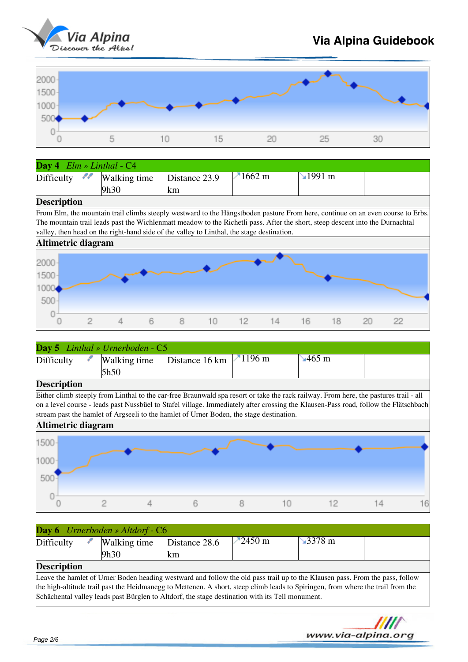

# **Via Alpina Guidebook**



| Day 4 $Elm \gg Linthal - C4$ |                                                                                                                                |               |              |                                    |          |  |  |  |  |  |
|------------------------------|--------------------------------------------------------------------------------------------------------------------------------|---------------|--------------|------------------------------------|----------|--|--|--|--|--|
| Difficulty                   | Walking time                                                                                                                   | Distance 23.9 | $\n  1662$ m | $\textcolor{red}{\textbf{1991}}$ m |          |  |  |  |  |  |
|                              | 9h30                                                                                                                           | km            |              |                                    |          |  |  |  |  |  |
| <b>Description</b>           |                                                                                                                                |               |              |                                    |          |  |  |  |  |  |
|                              | From Elm, the mountain trail climbs steeply westward to the Hängstboden pasture From here, continue on an even course to Erbs. |               |              |                                    |          |  |  |  |  |  |
|                              | The mountain trail leads past the Wichlenmatt meadow to the Richetli pass. After the short, steep descent into the Durnachtal  |               |              |                                    |          |  |  |  |  |  |
|                              | valley, then head on the right-hand side of the valley to Linthal, the stage destination.                                      |               |              |                                    |          |  |  |  |  |  |
| Altimetric diagram           |                                                                                                                                |               |              |                                    |          |  |  |  |  |  |
| 2000<br>1500<br>1000<br>500  |                                                                                                                                |               |              |                                    |          |  |  |  |  |  |
|                              | 6                                                                                                                              | 8<br>10       | 12<br>14     | 16<br>18                           | 22<br>20 |  |  |  |  |  |

| <b>Day 5</b> Linthal » Urnerboden - $C5$ |                      |                               |  |                                              |  |  |  |  |
|------------------------------------------|----------------------|-------------------------------|--|----------------------------------------------|--|--|--|--|
| Difficulty                               | Walking time<br>5h50 | Distance 16 km $\vert$ 1196 m |  | $\textcolor{blue}{\blacktriangleleft}$ 465 m |  |  |  |  |
| Decertation                              |                      |                               |  |                                              |  |  |  |  |

#### **Description**

Either climb steeply from Linthal to the car-free Braunwald spa resort or take the rack railway. From here, the pastures trail - all on a level course - leads past Nussbüel to Stafel village. Immediately after crossing the Klausen-Pass road, follow the Flätschbach stream past the hamlet of Argseeli to the hamlet of Urner Boden, the stage destination.



| <b>Day 6</b> Urnerboden » Altdorf - C6 |                                                                                                                               |                      |                   |               |  |  |  |  |  |
|----------------------------------------|-------------------------------------------------------------------------------------------------------------------------------|----------------------|-------------------|---------------|--|--|--|--|--|
| Difficulty                             | Walking time<br>9h30                                                                                                          | Distance 28.6<br>Ikm | $-2450 \text{ m}$ | $\sim$ 3378 m |  |  |  |  |  |
| <b>Description</b>                     | I eave the hamlet of Urner Roden heading westward and follow the old pass trail up to the Klausen pass. From the pass, follow |                      |                   |               |  |  |  |  |  |

Urner Boden heading westward and follow the old pass trail up to the Klausen pass. From the pass, follow the high-altitude trail past the Heidmanegg to Mettenen. A short, steep climb leads to Spiringen, from where the trail from the Schächental valley leads past Bürglen to Altdorf, the stage destination with its Tell monument.

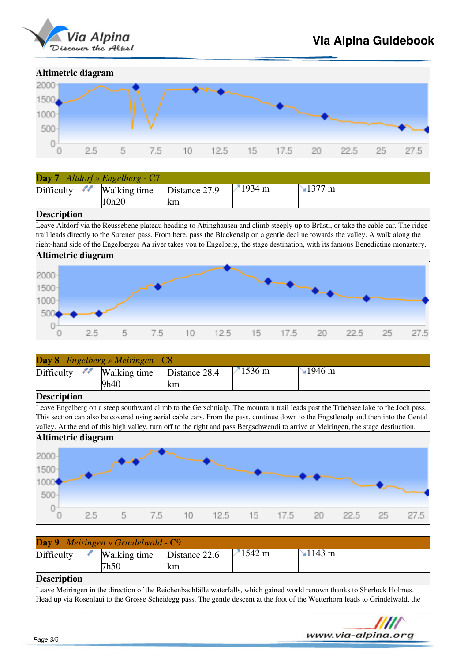



| <b>Day 7</b> Altdorf » Engelberg - $C7$ |              |               |                  |               |  |
|-----------------------------------------|--------------|---------------|------------------|---------------|--|
| Difficulty $\mathcal{M}$                | Walking time | Distance 27.9 | $1934 \text{ m}$ | $\sim$ 1377 m |  |
|                                         | 10h20        | lkm           |                  |               |  |
| $\overline{\phantom{a}}$                |              |               |                  |               |  |

#### **Description**

Leave Altdorf via the Reussebene plateau heading to Attinghausen and climb steeply up to Brüsti, or take the cable car. The ridge trail leads directly to the Surenen pass. From here, pass the Blackenalp on a gentle decline towards the valley. A walk along the right-hand side of the Engelberger Aa river takes you to Engelberg, the stage destination, with its famous Benedictine monastery.



|                             | <b>Day 8</b> Engelberg » Meiringen - C8 |                                                                                                                                    |                |               |    |      |  |  |  |  |  |
|-----------------------------|-----------------------------------------|------------------------------------------------------------------------------------------------------------------------------------|----------------|---------------|----|------|--|--|--|--|--|
| ,,,<br>Difficulty           | Walking time                            | Distance 28.4                                                                                                                      | $-1536$ m      | $\sim$ 1946 m |    |      |  |  |  |  |  |
|                             | 9h40                                    | lkm                                                                                                                                |                |               |    |      |  |  |  |  |  |
| <b>Description</b>          |                                         |                                                                                                                                    |                |               |    |      |  |  |  |  |  |
|                             |                                         | Leave Engelberg on a steep southward climb to the Gerschnialp. The mountain trail leads past the Trüebsee lake to the Joch pass.   |                |               |    |      |  |  |  |  |  |
|                             |                                         | This section can also be covered using aerial cable cars. From the pass, continue down to the Engstlenalp and then into the Gental |                |               |    |      |  |  |  |  |  |
|                             |                                         | valley. At the end of this high valley, turn off to the right and pass Bergschwendi to arrive at Meiringen, the stage destination. |                |               |    |      |  |  |  |  |  |
| Altimetric diagram          |                                         |                                                                                                                                    |                |               |    |      |  |  |  |  |  |
| 2000<br>1500<br>1000<br>500 |                                         |                                                                                                                                    |                |               |    |      |  |  |  |  |  |
| 2.5                         | 5<br>7.5                                | 10<br>12.5                                                                                                                         | $15 -$<br>17.5 | -20<br>22.5   | 25 | 27.5 |  |  |  |  |  |

| Day 9 Meiringen » Grindelwald - C9 |                      |                      |                  |                                   |  |  |  |  |  |
|------------------------------------|----------------------|----------------------|------------------|-----------------------------------|--|--|--|--|--|
| Difficulty                         | Walking time<br>7h50 | Distance 22.6<br>lkm | $1542 \text{ m}$ | $\mathbf{\leq} 1143 \,\mathrm{m}$ |  |  |  |  |  |
| <b>Description</b>                 |                      |                      |                  |                                   |  |  |  |  |  |

#### **Description**

Leave Meiringen in the direction of the Reichenbachfälle waterfalls, which gained world renown thanks to Sherlock Holmes. Head up via Rosenlaui to the Grosse Scheidegg pass. The gentle descent at the foot of the Wetterhorn leads to Grindelwald, the

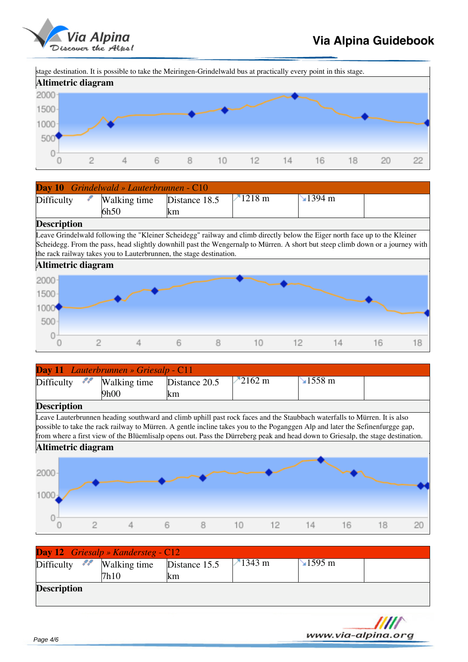

www.via-alpina.ora

stage destination. It is possible to take the Meiringen-Grindelwald bus at practically every point in this stage.



| <b>Day 10</b> Grindelwald » Lauterbrunnen - C10 |               |                  |                       |  |
|-------------------------------------------------|---------------|------------------|-----------------------|--|
| Difficulty<br>Walking time                      | Distance 18.5 | $1218 \text{ m}$ | $\mathbf{\leq}1394$ m |  |
| 6h50                                            | lkm           |                  |                       |  |

#### **Description**

Leave Grindelwald following the "Kleiner Scheidegg" railway and climb directly below the Eiger north face up to the Kleiner Scheidegg. From the pass, head slightly downhill past the Wengernalp to Mürren. A short but steep climb down or a journey with the rack railway takes you to Lauterbrunnen, the stage destination.



| <b>Day 11</b> Lauterbrunnen » Griesalp - C11 |      |               |                  |                 |  |  |  |  |
|----------------------------------------------|------|---------------|------------------|-----------------|--|--|--|--|
| Difficulty $\mathcal{M}$ Walking time        |      | Distance 20.5 | $2162 \text{ m}$ | $\sqrt{1558}$ m |  |  |  |  |
|                                              | 9h00 | <b>Km</b>     |                  |                 |  |  |  |  |
| $\blacksquare$                               |      |               |                  |                 |  |  |  |  |

#### **Description**

Leave Lauterbrunnen heading southward and climb uphill past rock faces and the Staubbach waterfalls to Mürren. It is also possible to take the rack railway to Mürren. A gentle incline takes you to the Poganggen Alp and later the Sefinenfurgge gap, from where a first view of the Blüemlisalp opens out. Pass the Dürreberg peak and head down to Griesalp, the stage destination.



| <b>Description</b>             |                                           |               |                 |                 |  |
|--------------------------------|-------------------------------------------|---------------|-----------------|-----------------|--|
|                                | 7h10                                      | km            |                 |                 |  |
| Difficulty <b>Walking time</b> |                                           | Distance 15.5 | $\sqrt{1343}$ m | $\text{1595 m}$ |  |
|                                | <b>Day 12</b> Griesalp » Kandersteg - C12 |               |                 |                 |  |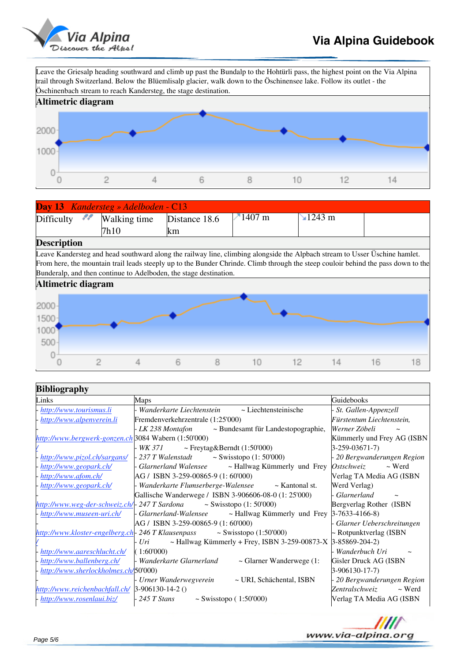

Leave the Griesalp heading southward and climb up past the Bundalp to the Hohtürli pass, the highest point on the Via Alpina trail through Switzerland. Below the Blüemlisalp glacier, walk down to the Öschinensee lake. Follow its outlet - the Öschinenbach stream to reach Kandersteg, the stage destination.



| <b>Day 13</b> Kandersteg » Adelboden - C13 |                                                |     |                   |                 |  |  |  |
|--------------------------------------------|------------------------------------------------|-----|-------------------|-----------------|--|--|--|
|                                            | $Difficulty$ $\sim$ Walking time Distance 18.6 |     | $-1407 \text{ m}$ | $\sqrt{1243}$ m |  |  |  |
|                                            | 7h10                                           | lkm |                   |                 |  |  |  |

### **Description**

Leave Kandersteg and head southward along the railway line, climbing alongside the Alpbach stream to Usser Üschine hamlet. From here, the mountain trail leads steeply up to the Bunder Chrinde. Climb through the steep couloir behind the pass down to the Bunderalp, and then continue to Adelboden, the stage destination.



| <b>Bibliography</b>                                  |                                                                                                                       |                                        |  |  |  |  |
|------------------------------------------------------|-----------------------------------------------------------------------------------------------------------------------|----------------------------------------|--|--|--|--|
| Links                                                | Maps                                                                                                                  | Guidebooks                             |  |  |  |  |
| http://www.tourismus.li                              | - Wanderkarte Liechtenstein ~ Liechtensteinische                                                                      | St. Gallen-Appenzell                   |  |  |  |  |
| http://www.alpenverein.li                            | Fremdenverkehrzentrale (1:25'000)                                                                                     | Fürstentum Liechtenstein,              |  |  |  |  |
|                                                      | - LK 238 Montafon - Bundesamt für Landestopographie,                                                                  | Werner Zöbeli                          |  |  |  |  |
| http://www.bergwerk-gonzen.ch 3084 Wabern (1:50'000) |                                                                                                                       | Kümmerly und Frey AG (ISBN             |  |  |  |  |
|                                                      | $WK 371$ $\sim$ Freytag&Berndt (1:50'000)                                                                             | $3-259-03671-7$                        |  |  |  |  |
| http://www.pizol.ch/sargans/                         | $-237$ T Walenstadt $\sim$ Swisstopo (1:50'000)                                                                       | - 20 Bergwanderungen Region            |  |  |  |  |
| http://www.geopark.ch/                               | - Glarnerland Walensee $\rightarrow$ Hallwag Kümmerly und Frey <i>Ostschweiz</i>                                      | $\sim$ Werd                            |  |  |  |  |
| http://www.afom.ch/                                  | $AG / ISBN 3-259-00865-9(1:60'000)$                                                                                   | Verlag TA Media AG (ISBN               |  |  |  |  |
| http://www.geopark.ch/                               | - Wanderkarte Flumserberge-Walensee ~ Kantonal st.                                                                    | Werd Verlag)                           |  |  |  |  |
|                                                      | Gallische Wanderwege / ISBN 3-906606-08-0 (1: 25'000)                                                                 | - Glarnerland<br>$\tilde{\phantom{a}}$ |  |  |  |  |
| http://www.weg-der-schweiz.ch/- 247 T Sardona        | ~ Swisstopo $(1:50'000)$                                                                                              | Bergverlag Rother (ISBN                |  |  |  |  |
| http://www.museen-uri.ch/                            | $\frac{1}{2}$ Glarnerland-Walensee $\sim$ Hallwag Kümmerly und Frey 3-7633-4166-8)                                    |                                        |  |  |  |  |
|                                                      | AG / ISBN 3-259-00865-9 (1: 60'000)                                                                                   | - Glarner Ueberschreitungen            |  |  |  |  |
|                                                      | $http://www.kloster-engelberg.ch-246 T Klausenpass$ ~ Swisstopo (1:50'000)                                            | ~ Rotpunktverlag (ISBN                 |  |  |  |  |
|                                                      | $\frac{1}{2}$ <i>Uri</i> $\sim$ Hallwag Kümmerly + Frey, ISBN 3-259-00873-X                                           | 3-85869-204-2)                         |  |  |  |  |
| http://www.aareschlucht.ch/                          | (1:60'000)                                                                                                            | - Wanderbuch Uri                       |  |  |  |  |
|                                                      | $\frac{http://www.ballenberg.ch/}{http://www.ballenberg.ch/}$   Wanderkarte Glarnerland $\sim$ Glarner Wanderwege (1: | Gisler Druck AG (ISBN                  |  |  |  |  |
| http://www.sherlockholmes.ch/50'000)                 |                                                                                                                       | $3-906130-17-7$                        |  |  |  |  |
|                                                      | ~ URI, Schächental, ISBN<br>- Urner Wanderwegverein                                                                   | - 20 Bergwanderungen Region            |  |  |  |  |
| http://www.reichenbachfall.ch/ 3-906130-14-2 ()      |                                                                                                                       | $\sim$ Werd<br>Zentralschweiz          |  |  |  |  |
| http://www.rosenlaui.biz/                            | $-245$ T Stans<br>~ Swisstopo $(1:50'000)$                                                                            | Verlag TA Media AG (ISBN               |  |  |  |  |